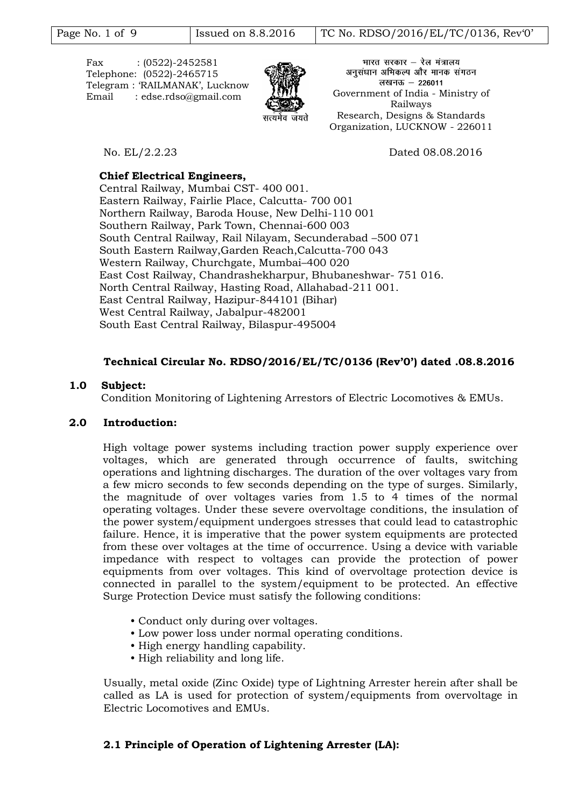Fax : (0522)-2452581 Telephone: (0522)-2465715 Telegram : "RAILMANAK", Lucknow



भारत सरकार – रेल मंत्रालय अनुसंधान अभिकल्प और मानक संगठन लखनऊ - 226011 Email : edse.rdso@gmail.com Government of India - Ministry of Railways Research, Designs & Standards Organization, LUCKNOW - 226011

No. EL/2.2.23 Dated 08.08.2016

## **Chief Electrical Engineers,**

Central Railway, Mumbai CST- 400 001. Eastern Railway, Fairlie Place, Calcutta- 700 001 Northern Railway, Baroda House, New Delhi-110 001 Southern Railway, Park Town, Chennai-600 003 South Central Railway, Rail Nilayam, Secunderabad –500 071 South Eastern Railway,Garden Reach,Calcutta-700 043 Western Railway, Churchgate, Mumbai–400 020 East Cost Railway, Chandrashekharpur, Bhubaneshwar- 751 016. North Central Railway, Hasting Road, Allahabad-211 001. East Central Railway, Hazipur-844101 (Bihar) West Central Railway, Jabalpur-482001 South East Central Railway, Bilaspur-495004

# **Technical Circular No. RDSO/2016/EL/TC/0136 (Rev'0') dated .08.8.2016**

## **1.0 Subject:**

Condition Monitoring of Lightening Arrestors of Electric Locomotives & EMUs.

## **2.0 Introduction:**

High voltage power systems including traction power supply experience over voltages, which are generated through occurrence of faults, switching operations and lightning discharges. The duration of the over voltages vary from a few micro seconds to few seconds depending on the type of surges. Similarly, the magnitude of over voltages varies from 1.5 to 4 times of the normal operating voltages. Under these severe overvoltage conditions, the insulation of the power system/equipment undergoes stresses that could lead to catastrophic failure. Hence, it is imperative that the power system equipments are protected from these over voltages at the time of occurrence. Using a device with variable impedance with respect to voltages can provide the protection of power equipments from over voltages. This kind of overvoltage protection device is connected in parallel to the system/equipment to be protected. An effective Surge Protection Device must satisfy the following conditions:

- Conduct only during over voltages.
- Low power loss under normal operating conditions.
- High energy handling capability.
- High reliability and long life.

Usually, metal oxide (Zinc Oxide) type of Lightning Arrester herein after shall be called as LA is used for protection of system/equipments from overvoltage in Electric Locomotives and EMUs.

# **2.1 Principle of Operation of Lightening Arrester (LA):**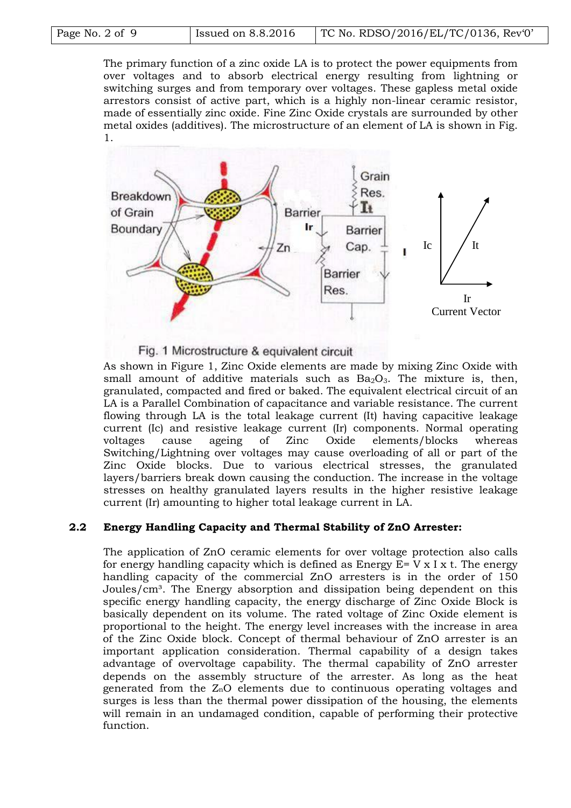The primary function of a zinc oxide LA is to protect the power equipments from over voltages and to absorb electrical energy resulting from lightning or switching surges and from temporary over voltages. These gapless metal oxide arrestors consist of active part, which is a highly non-linear ceramic resistor, made of essentially zinc oxide. Fine Zinc Oxide crystals are surrounded by other metal oxides (additives). The microstructure of an element of LA is shown in Fig. 1.



#### Fig. 1 Microstructure & equivalent circuit

As shown in Figure 1, Zinc Oxide elements are made by mixing Zinc Oxide with small amount of additive materials such as  $Ba<sub>2</sub>O<sub>3</sub>$ . The mixture is, then, granulated, compacted and fired or baked. The equivalent electrical circuit of an LA is a Parallel Combination of capacitance and variable resistance. The current flowing through LA is the total leakage current (It) having capacitive leakage current (Ic) and resistive leakage current (Ir) components. Normal operating voltages cause ageing of Zinc Oxide elements/blocks whereas Switching/Lightning over voltages may cause overloading of all or part of the Zinc Oxide blocks. Due to various electrical stresses, the granulated layers/barriers break down causing the conduction. The increase in the voltage stresses on healthy granulated layers results in the higher resistive leakage current (Ir) amounting to higher total leakage current in LA.

## **2.2 Energy Handling Capacity and Thermal Stability of ZnO Arrester:**

The application of ZnO ceramic elements for over voltage protection also calls for energy handling capacity which is defined as Energy  $E= V \times I \times I$ . The energy handling capacity of the commercial ZnO arresters is in the order of 150 Joules/cm<sup>3</sup>. The Energy absorption and dissipation being dependent on this specific energy handling capacity, the energy discharge of Zinc Oxide Block is basically dependent on its volume. The rated voltage of Zinc Oxide element is proportional to the height. The energy level increases with the increase in area of the Zinc Oxide block. Concept of thermal behaviour of ZnO arrester is an important application consideration. Thermal capability of a design takes advantage of overvoltage capability. The thermal capability of ZnO arrester depends on the assembly structure of the arrester. As long as the heat generated from the ZnO elements due to continuous operating voltages and surges is less than the thermal power dissipation of the housing, the elements will remain in an undamaged condition, capable of performing their protective function.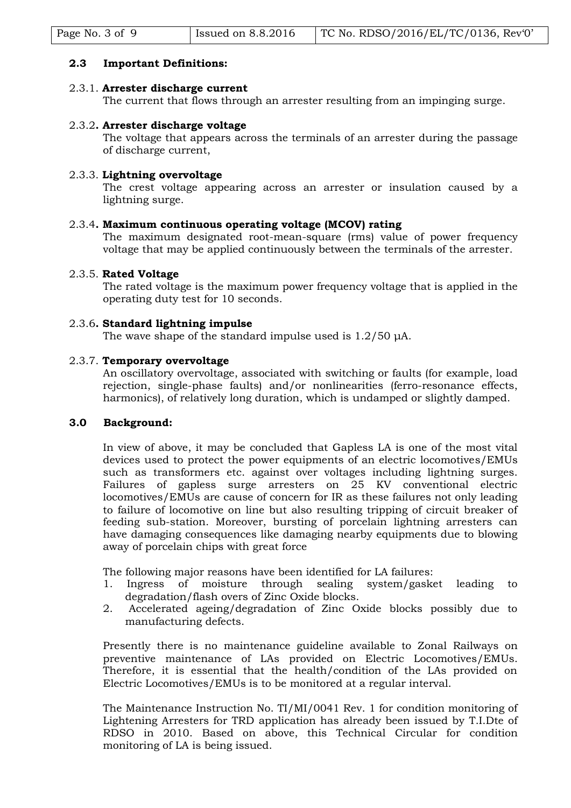| TC No. RDSO/2016/EL/TC/0136, Rev $0'$<br>Issued on 8.8.2016<br>Page No. 3 of 9 |
|--------------------------------------------------------------------------------|
|--------------------------------------------------------------------------------|

## **2.3 Important Definitions:**

## 2.3.1. **Arrester discharge current**

The current that flows through an arrester resulting from an impinging surge.

### 2.3.2**. Arrester discharge voltage**

The voltage that appears across the terminals of an arrester during the passage of discharge current,

## 2.3.3. **Lightning overvoltage**

The crest voltage appearing across an arrester or insulation caused by a lightning surge.

#### 2.3.4**. Maximum continuous operating voltage (MCOV) rating**

The maximum designated root-mean-square (rms) value of power frequency voltage that may be applied continuously between the terminals of the arrester.

### 2.3.5. **Rated Voltage**

The rated voltage is the maximum power frequency voltage that is applied in the operating duty test for 10 seconds.

## 2.3.6**. Standard lightning impulse**

The wave shape of the standard impulse used is 1.2/50 μA.

### 2.3.7. **Temporary overvoltage**

An oscillatory overvoltage, associated with switching or faults (for example, load rejection, single-phase faults) and/or nonlinearities (ferro-resonance effects, harmonics), of relatively long duration, which is undamped or slightly damped.

#### **3.0 Background:**

In view of above, it may be concluded that Gapless LA is one of the most vital devices used to protect the power equipments of an electric locomotives/EMUs such as transformers etc. against over voltages including lightning surges. Failures of gapless surge arresters on 25 KV conventional electric locomotives/EMUs are cause of concern for IR as these failures not only leading to failure of locomotive on line but also resulting tripping of circuit breaker of feeding sub-station. Moreover, bursting of porcelain lightning arresters can have damaging consequences like damaging nearby equipments due to blowing away of porcelain chips with great force

The following major reasons have been identified for LA failures:

- 1. Ingress of moisture through sealing system/gasket leading to degradation/flash overs of Zinc Oxide blocks.
- 2. Accelerated ageing/degradation of Zinc Oxide blocks possibly due to manufacturing defects.

Presently there is no maintenance guideline available to Zonal Railways on preventive maintenance of LAs provided on Electric Locomotives/EMUs. Therefore, it is essential that the health/condition of the LAs provided on Electric Locomotives/EMUs is to be monitored at a regular interval.

The Maintenance Instruction No. TI/MI/0041 Rev. 1 for condition monitoring of Lightening Arresters for TRD application has already been issued by T.I.Dte of RDSO in 2010. Based on above, this Technical Circular for condition monitoring of LA is being issued.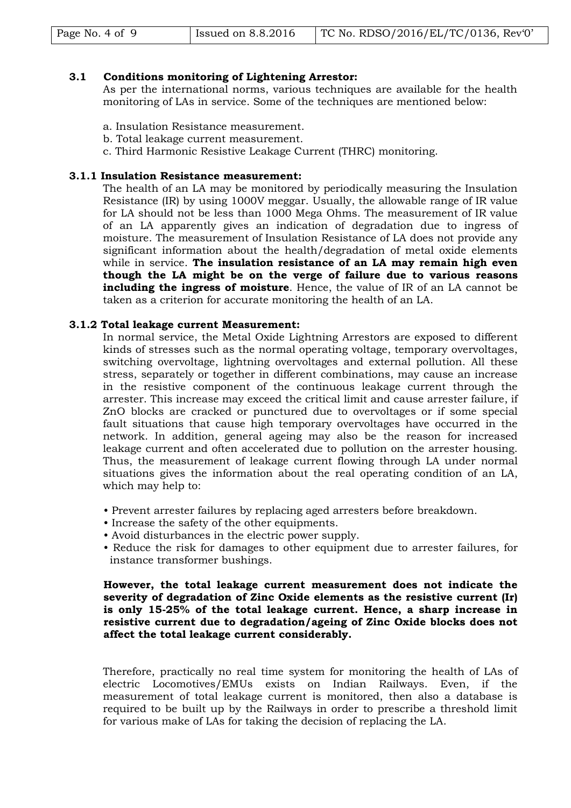|  | Page No. 4 of 9 | Issued on $8.8.2016$ | TC No. RDSO/2016/EL/TC/0136, Rev'0' |
|--|-----------------|----------------------|-------------------------------------|
|--|-----------------|----------------------|-------------------------------------|

#### **3.1 Conditions monitoring of Lightening Arrestor:**

As per the international norms, various techniques are available for the health monitoring of LAs in service. Some of the techniques are mentioned below:

- a. Insulation Resistance measurement.
- b. Total leakage current measurement.
- c. Third Harmonic Resistive Leakage Current (THRC) monitoring.

## **3.1.1 Insulation Resistance measurement:**

The health of an LA may be monitored by periodically measuring the Insulation Resistance (IR) by using 1000V meggar. Usually, the allowable range of IR value for LA should not be less than 1000 Mega Ohms. The measurement of IR value of an LA apparently gives an indication of degradation due to ingress of moisture. The measurement of Insulation Resistance of LA does not provide any significant information about the health/degradation of metal oxide elements while in service. **The insulation resistance of an LA may remain high even though the LA might be on the verge of failure due to various reasons including the ingress of moisture**. Hence, the value of IR of an LA cannot be taken as a criterion for accurate monitoring the health of an LA.

## **3.1.2 Total leakage current Measurement:**

In normal service, the Metal Oxide Lightning Arrestors are exposed to different kinds of stresses such as the normal operating voltage, temporary overvoltages, switching overvoltage, lightning overvoltages and external pollution. All these stress, separately or together in different combinations, may cause an increase in the resistive component of the continuous leakage current through the arrester. This increase may exceed the critical limit and cause arrester failure, if ZnO blocks are cracked or punctured due to overvoltages or if some special fault situations that cause high temporary overvoltages have occurred in the network. In addition, general ageing may also be the reason for increased leakage current and often accelerated due to pollution on the arrester housing. Thus, the measurement of leakage current flowing through LA under normal situations gives the information about the real operating condition of an LA, which may help to:

- Prevent arrester failures by replacing aged arresters before breakdown.
- Increase the safety of the other equipments.
- Avoid disturbances in the electric power supply.
- Reduce the risk for damages to other equipment due to arrester failures, for instance transformer bushings.

## **However, the total leakage current measurement does not indicate the severity of degradation of Zinc Oxide elements as the resistive current (Ir) is only 15-25% of the total leakage current. Hence, a sharp increase in resistive current due to degradation/ageing of Zinc Oxide blocks does not affect the total leakage current considerably.**

Therefore, practically no real time system for monitoring the health of LAs of electric Locomotives/EMUs exists on Indian Railways. Even, if the measurement of total leakage current is monitored, then also a database is required to be built up by the Railways in order to prescribe a threshold limit for various make of LAs for taking the decision of replacing the LA.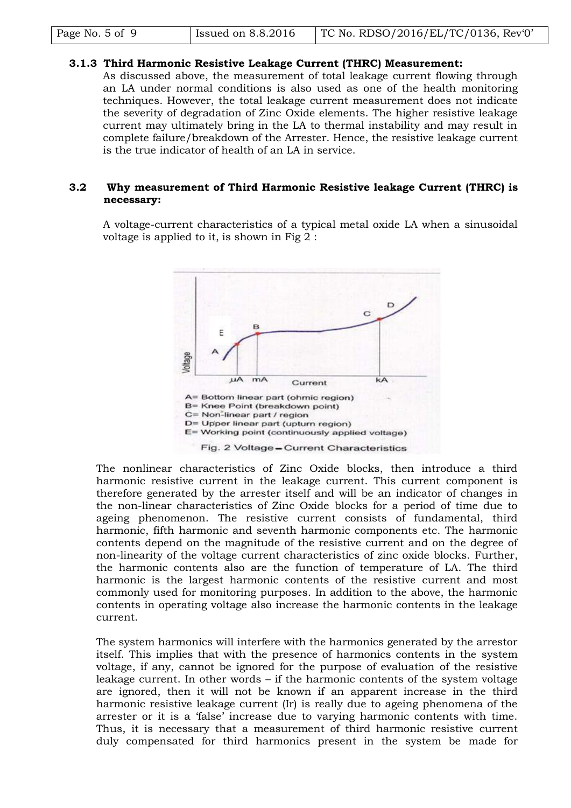| Issued on $8.8.2016$<br>Page No. 5 of 9 | TC No. RDSO/2016/EL/TC/0136, Rev $0'$ |
|-----------------------------------------|---------------------------------------|
|-----------------------------------------|---------------------------------------|

## **3.1.3 Third Harmonic Resistive Leakage Current (THRC) Measurement:**

As discussed above, the measurement of total leakage current flowing through an LA under normal conditions is also used as one of the health monitoring techniques. However, the total leakage current measurement does not indicate the severity of degradation of Zinc Oxide elements. The higher resistive leakage current may ultimately bring in the LA to thermal instability and may result in complete failure/breakdown of the Arrester. Hence, the resistive leakage current is the true indicator of health of an LA in service.

## **3.2 Why measurement of Third Harmonic Resistive leakage Current (THRC) is necessary:**

A voltage-current characteristics of a typical metal oxide LA when a sinusoidal voltage is applied to it, is shown in Fig 2 :



The nonlinear characteristics of Zinc Oxide blocks, then introduce a third harmonic resistive current in the leakage current. This current component is therefore generated by the arrester itself and will be an indicator of changes in the non-linear characteristics of Zinc Oxide blocks for a period of time due to ageing phenomenon. The resistive current consists of fundamental, third harmonic, fifth harmonic and seventh harmonic components etc. The harmonic contents depend on the magnitude of the resistive current and on the degree of non-linearity of the voltage current characteristics of zinc oxide blocks. Further, the harmonic contents also are the function of temperature of LA. The third harmonic is the largest harmonic contents of the resistive current and most commonly used for monitoring purposes. In addition to the above, the harmonic contents in operating voltage also increase the harmonic contents in the leakage current.

The system harmonics will interfere with the harmonics generated by the arrestor itself. This implies that with the presence of harmonics contents in the system voltage, if any, cannot be ignored for the purpose of evaluation of the resistive leakage current. In other words – if the harmonic contents of the system voltage are ignored, then it will not be known if an apparent increase in the third harmonic resistive leakage current (Ir) is really due to ageing phenomena of the arrester or it is a "false" increase due to varying harmonic contents with time. Thus, it is necessary that a measurement of third harmonic resistive current duly compensated for third harmonics present in the system be made for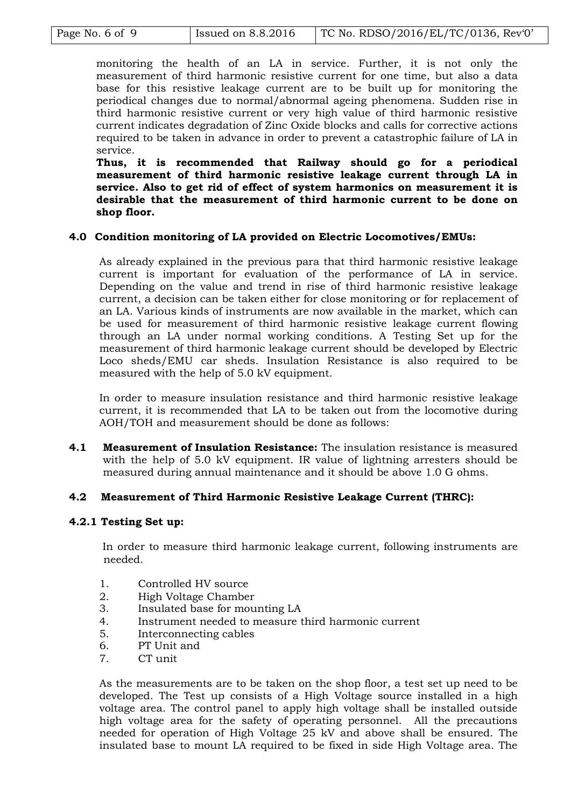| Page No. 6 of 9 | Issued on $8.8.2016$ | TC No. RDSO/2016/EL/TC/0136, Rev $0'$ |
|-----------------|----------------------|---------------------------------------|
|                 |                      |                                       |

monitoring the health of an LA in service. Further, it is not only the measurement of third harmonic resistive current for one time, but also a data base for this resistive leakage current are to be built up for monitoring the periodical changes due to normal/abnormal ageing phenomena. Sudden rise in third harmonic resistive current or very high value of third harmonic resistive current indicates degradation of Zinc Oxide blocks and calls for corrective actions required to be taken in advance in order to prevent a catastrophic failure of LA in service.

**Thus, it is recommended that Railway should go for a periodical measurement of third harmonic resistive leakage current through LA in service. Also to get rid of effect of system harmonics on measurement it is desirable that the measurement of third harmonic current to be done on shop floor.**

## **4.0 Condition monitoring of LA provided on Electric Locomotives/EMUs:**

As already explained in the previous para that third harmonic resistive leakage current is important for evaluation of the performance of LA in service. Depending on the value and trend in rise of third harmonic resistive leakage current, a decision can be taken either for close monitoring or for replacement of an LA. Various kinds of instruments are now available in the market, which can be used for measurement of third harmonic resistive leakage current flowing through an LA under normal working conditions. A Testing Set up for the measurement of third harmonic leakage current should be developed by Electric Loco sheds/EMU car sheds. Insulation Resistance is also required to be measured with the help of 5.0 kV equipment.

In order to measure insulation resistance and third harmonic resistive leakage current, it is recommended that LA to be taken out from the locomotive during AOH/TOH and measurement should be done as follows:

**4.1 Measurement of Insulation Resistance:** The insulation resistance is measured with the help of 5.0 kV equipment. IR value of lightning arresters should be measured during annual maintenance and it should be above 1.0 G ohms.

## **4.2 Measurement of Third Harmonic Resistive Leakage Current (THRC):**

## **4.2.1 Testing Set up:**

In order to measure third harmonic leakage current, following instruments are needed.

- 1. Controlled HV source
- 2. High Voltage Chamber
- 3. Insulated base for mounting LA
- 4. Instrument needed to measure third harmonic current
- 5. Interconnecting cables
- 6. PT Unit and
- 7. CT unit

As the measurements are to be taken on the shop floor, a test set up need to be developed. The Test up consists of a High Voltage source installed in a high voltage area. The control panel to apply high voltage shall be installed outside high voltage area for the safety of operating personnel. All the precautions needed for operation of High Voltage 25 kV and above shall be ensured. The insulated base to mount LA required to be fixed in side High Voltage area. The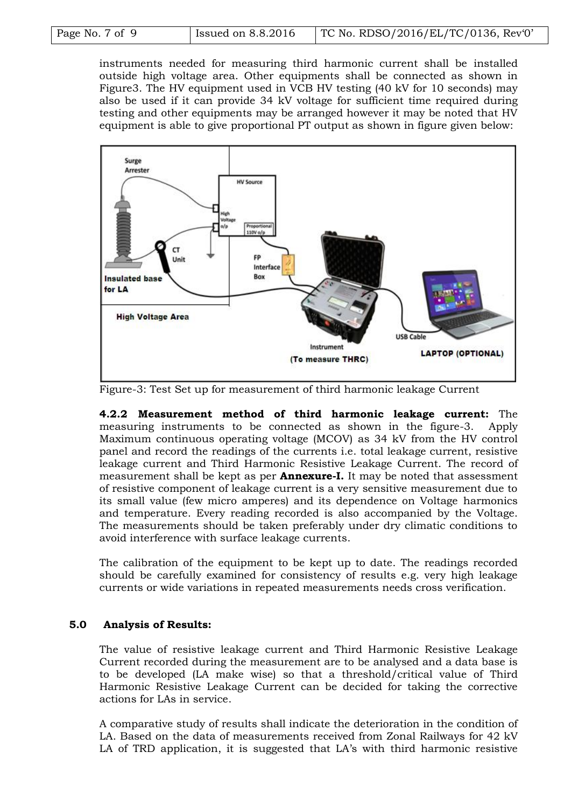| Page No. 7 of 9 | Issued on 8.8.2016 | TC No. RDSO/2016/EL/TC/0136, Rev'0' |  |  |
|-----------------|--------------------|-------------------------------------|--|--|

instruments needed for measuring third harmonic current shall be installed outside high voltage area. Other equipments shall be connected as shown in Figure3. The HV equipment used in VCB HV testing (40 kV for 10 seconds) may also be used if it can provide 34 kV voltage for sufficient time required during testing and other equipments may be arranged however it may be noted that HV equipment is able to give proportional PT output as shown in figure given below:



Figure-3: Test Set up for measurement of third harmonic leakage Current

**4.2.2 Measurement method of third harmonic leakage current:** The measuring instruments to be connected as shown in the figure-3. Apply Maximum continuous operating voltage (MCOV) as 34 kV from the HV control panel and record the readings of the currents i.e. total leakage current, resistive leakage current and Third Harmonic Resistive Leakage Current. The record of measurement shall be kept as per **Annexure-I.** It may be noted that assessment of resistive component of leakage current is a very sensitive measurement due to its small value (few micro amperes) and its dependence on Voltage harmonics and temperature. Every reading recorded is also accompanied by the Voltage. The measurements should be taken preferably under dry climatic conditions to avoid interference with surface leakage currents.

The calibration of the equipment to be kept up to date. The readings recorded should be carefully examined for consistency of results e.g. very high leakage currents or wide variations in repeated measurements needs cross verification.

## **5.0 Analysis of Results:**

The value of resistive leakage current and Third Harmonic Resistive Leakage Current recorded during the measurement are to be analysed and a data base is to be developed (LA make wise) so that a threshold/critical value of Third Harmonic Resistive Leakage Current can be decided for taking the corrective actions for LAs in service.

A comparative study of results shall indicate the deterioration in the condition of LA. Based on the data of measurements received from Zonal Railways for 42 kV LA of TRD application, it is suggested that LA"s with third harmonic resistive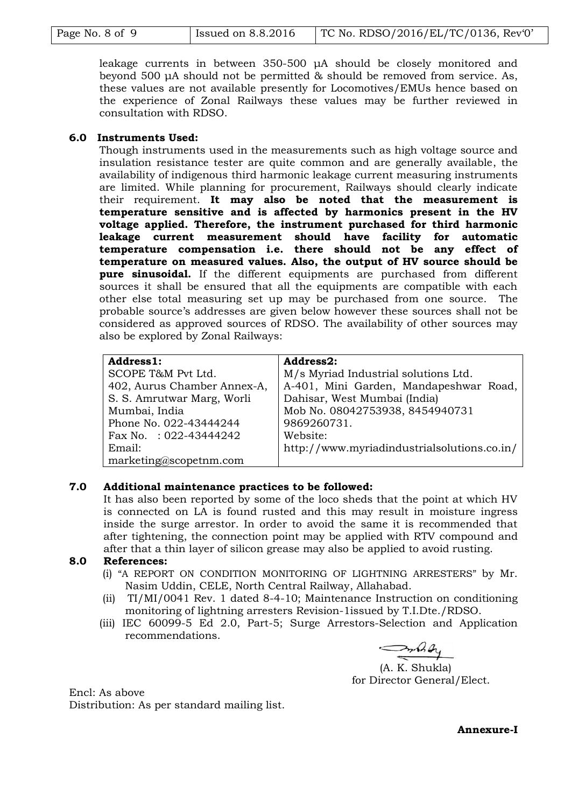| Page No. 8 of 9 | Issued on 8.8.2016 | TC No. RDSO/2016/EL/TC/0136, Rev'0' |  |  |
|-----------------|--------------------|-------------------------------------|--|--|

leakage currents in between 350-500 μA should be closely monitored and beyond 500 μA should not be permitted & should be removed from service. As, these values are not available presently for Locomotives/EMUs hence based on the experience of Zonal Railways these values may be further reviewed in consultation with RDSO.

## **6.0 Instruments Used:**

Though instruments used in the measurements such as high voltage source and insulation resistance tester are quite common and are generally available, the availability of indigenous third harmonic leakage current measuring instruments are limited. While planning for procurement, Railways should clearly indicate their requirement. **It may also be noted that the measurement is temperature sensitive and is affected by harmonics present in the HV voltage applied. Therefore, the instrument purchased for third harmonic leakage current measurement should have facility for automatic temperature compensation i.e. there should not be any effect of temperature on measured values. Also, the output of HV source should be pure sinusoidal.** If the different equipments are purchased from different sources it shall be ensured that all the equipments are compatible with each other else total measuring set up may be purchased from one source. The probable source"s addresses are given below however these sources shall not be considered as approved sources of RDSO. The availability of other sources may also be explored by Zonal Railways:

| Address1:                   | Address2:                                   |
|-----------------------------|---------------------------------------------|
| SCOPE T&M Pvt Ltd.          | M/s Myriad Industrial solutions Ltd.        |
| 402, Aurus Chamber Annex-A, | A-401, Mini Garden, Mandapeshwar Road,      |
| S. S. Amrutwar Marg, Worli  | Dahisar, West Mumbai (India)                |
| Mumbai, India               | Mob No. 08042753938, 8454940731             |
| Phone No. 022-43444244      | 9869260731.                                 |
| Fax No. : $022-43444242$    | Website:                                    |
| Email:                      | http://www.myriadindustrialsolutions.co.in/ |
| marketing@scopetnm.com      |                                             |

## **7.0 Additional maintenance practices to be followed:**

It has also been reported by some of the loco sheds that the point at which HV is connected on LA is found rusted and this may result in moisture ingress inside the surge arrestor. In order to avoid the same it is recommended that after tightening, the connection point may be applied with RTV compound and after that a thin layer of silicon grease may also be applied to avoid rusting.

## **8.0 References:**

- (i) "A REPORT ON CONDITION MONITORING OF LIGHTNING ARRESTERS" by Mr. Nasim Uddin, CELE, North Central Railway, Allahabad.
- (ii) TI/MI/0041 Rev. 1 dated 8-4-10; Maintenance Instruction on conditioning monitoring of lightning arresters Revision-1issued by T.I.Dte./RDSO.
- (iii) IEC 60099-5 Ed 2.0, Part-5; Surge Arrestors-Selection and Application recommendations.

(A. K. Shukla) for Director General/Elect.

Encl: As above Distribution: As per standard mailing list.

**Annexure-I**